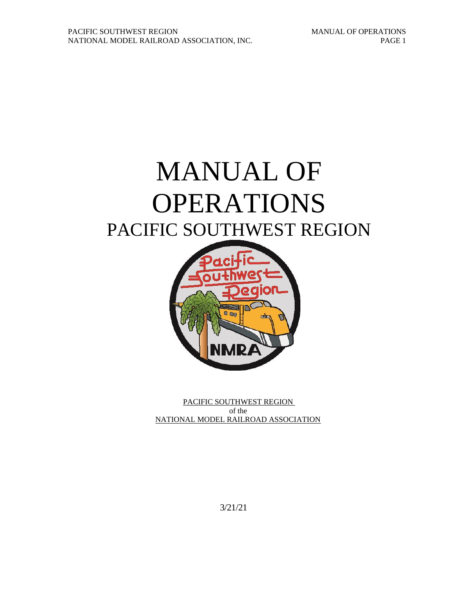# MANUAL OF OPERATIONS PACIFIC SOUTHWEST REGION



PACIFIC SOUTHWEST REGION of the NATIONAL MODEL RAILROAD ASSOCIATION

3/21/21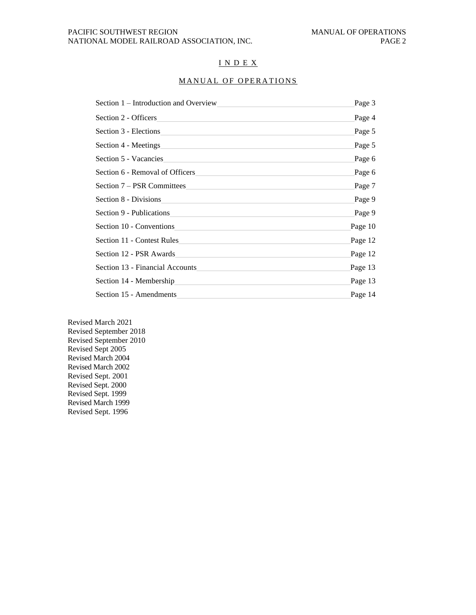## I N D E X

# MANUAL OF OPERATIONS

| Section 1 – Introduction and Overview                                                                                                        | Page 3  |
|----------------------------------------------------------------------------------------------------------------------------------------------|---------|
| Section 2 - Officers                                                                                                                         | Page 4  |
| Section 3 - Elections<br>the control of the control of the control of the control of the control of the control of                           | Page 5  |
| Section 4 - Meetings<br><u> 1980 - Johann Barbara, marka a shekara tsa 1980 - An tsa 1980 - An tsa 1980 - An tsa 1980 - An tsa 1980 - An</u> | Page 5  |
| Section 5 - Vacancies<br>and the control of the control of the control of the control of the control of the control of the control of the    | Page 6  |
| Section 6 - Removal of Officers<br>the control of the control of the control of the control of the control of the control of                 | Page 6  |
| Section 7 – PSR Committees                                                                                                                   | Page 7  |
| Section 8 - Divisions<br>and the control of the control of the control of the control of the control of the control of the control of the    | Page 9  |
| Section 9 - Publications                                                                                                                     | Page 9  |
| Section 10 - Conventions                                                                                                                     | Page 10 |
| Section 11 - Contest Rules                                                                                                                   | Page 12 |
| Section 12 - PSR Awards<br>the control of the control of the control of the control of the control of the control of                         | Page 12 |
| Section 13 - Financial Accounts                                                                                                              | Page 13 |
|                                                                                                                                              | Page 13 |
| Section 15 - Amendments                                                                                                                      | Page 14 |

Revised March 2021 Revised September 2018 Revised September 2010 Revised Sept 2005 Revised March 2004 Revised March 2002 Revised Sept. 2001 Revised Sept. 2000 Revised Sept. 1999 Revised March 1999 Revised Sept. 1996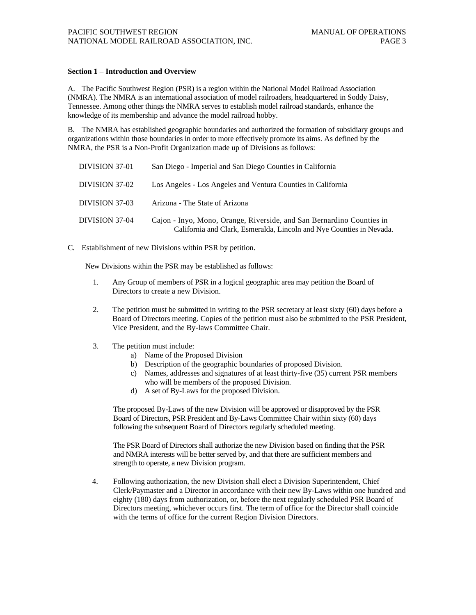#### **Section 1 – Introduction and Overview**

A. The Pacific Southwest Region (PSR) is a region within the National Model Railroad Association (NMRA). The NMRA is an international association of model railroaders, headquartered in Soddy Daisy, Tennessee. Among other things the NMRA serves to establish model railroad standards, enhance the knowledge of its membership and advance the model railroad hobby.

B. The NMRA has established geographic boundaries and authorized the formation of subsidiary groups and organizations within those boundaries in order to more effectively promote its aims. As defined by the NMRA, the PSR is a Non-Profit Organization made up of Divisions as follows:

| DIVISION 37-01 | San Diego - Imperial and San Diego Counties in California                                                                                     |
|----------------|-----------------------------------------------------------------------------------------------------------------------------------------------|
| DIVISION 37-02 | Los Angeles - Los Angeles and Ventura Counties in California                                                                                  |
| DIVISION 37-03 | Arizona - The State of Arizona                                                                                                                |
| DIVISION 37-04 | Cajon - Inyo, Mono, Orange, Riverside, and San Bernardino Counties in<br>California and Clark, Esmeralda, Lincoln and Nye Counties in Nevada. |

C. Establishment of new Divisions within PSR by petition.

New Divisions within the PSR may be established as follows:

- 1. Any Group of members of PSR in a logical geographic area may petition the Board of Directors to create a new Division.
- 2. The petition must be submitted in writing to the PSR secretary at least sixty (60) days before a Board of Directors meeting. Copies of the petition must also be submitted to the PSR President, Vice President, and the By-laws Committee Chair.
- 3. The petition must include:
	- a) Name of the Proposed Division
	- b) Description of the geographic boundaries of proposed Division.
	- c) Names, addresses and signatures of at least thirty-five (35) current PSR members who will be members of the proposed Division.
	- d) A set of By-Laws for the proposed Division.

The proposed By-Laws of the new Division will be approved or disapproved by the PSR Board of Directors, PSR President and By-Laws Committee Chair within sixty (60) days following the subsequent Board of Directors regularly scheduled meeting.

The PSR Board of Directors shall authorize the new Division based on finding that the PSR and NMRA interests will be better served by, and that there are sufficient members and strength to operate, a new Division program.

4. Following authorization, the new Division shall elect a Division Superintendent, Chief Clerk/Paymaster and a Director in accordance with their new By-Laws within one hundred and eighty (180) days from authorization, or, before the next regularly scheduled PSR Board of Directors meeting, whichever occurs first. The term of office for the Director shall coincide with the terms of office for the current Region Division Directors.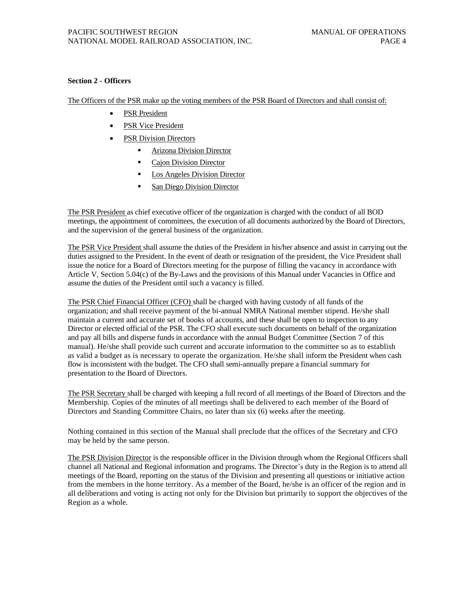## **Section 2 - Officers**

The Officers of the PSR make up the voting members of the PSR Board of Directors and shall consist of:

- PSR President
- PSR Vice President
- PSR Division Directors
	- **EXECUTE:** Arizona Division Director
	- Cajon Division Director
	- **Los Angeles Division Director**
	- San Diego Division Director

The PSR President as chief executive officer of the organization is charged with the conduct of all BOD meetings, the appointment of committees, the execution of all documents authorized by the Board of Directors, and the supervision of the general business of the organization.

The PSR Vice President shall assume the duties of the President in his/her absence and assist in carrying out the duties assigned to the President. In the event of death or resignation of the president, the Vice President shall issue the notice for a Board of Directors meeting for the purpose of filling the vacancy in accordance with Article V, Section 5.04(c) of the By-Laws and the provisions of this Manual under Vacancies in Office and assume the duties of the President until such a vacancy is filled.

The PSR Chief Financial Officer (CFO) shall be charged with having custody of all funds of the organization; and shall receive payment of the bi-annual NMRA National member stipend. He/she shall maintain a current and accurate set of books of accounts, and these shall be open to inspection to any Director or elected official of the PSR. The CFO shall execute such documents on behalf of the organization and pay all bills and disperse funds in accordance with the annual Budget Committee (Section 7 of this manual). He/she shall provide such current and accurate information to the committee so as to establish as valid a budget as is necessary to operate the organization. He/she shall inform the President when cash flow is inconsistent with the budget. The CFO shall semi-annually prepare a financial summary for presentation to the Board of Directors.

The PSR Secretary shall be charged with keeping a full record of all meetings of the Board of Directors and the Membership. Copies of the minutes of all meetings shall be delivered to each member of the Board of Directors and Standing Committee Chairs, no later than six (6) weeks after the meeting.

Nothing contained in this section of the Manual shall preclude that the offices of the Secretary and CFO may be held by the same person.

The PSR Division Director is the responsible officer in the Division through whom the Regional Officers shall channel all National and Regional information and programs. The Director's duty in the Region is to attend all meetings of the Board, reporting on the status of the Division and presenting all questions or initiative action from the members in the home territory. As a member of the Board, he/she is an officer of the region and in all deliberations and voting is acting not only for the Division but primarily to support the objectives of the Region as a whole.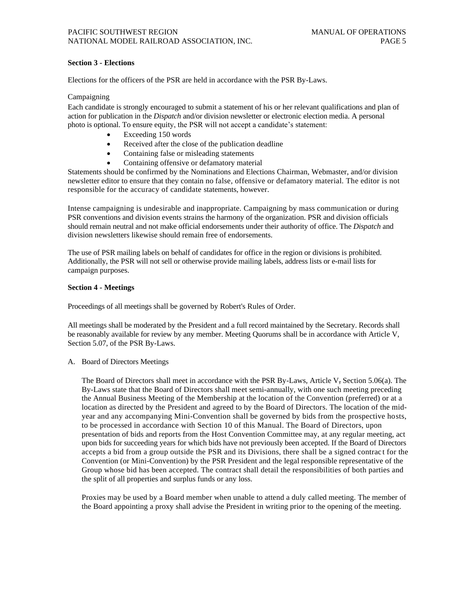#### **Section 3 - Elections**

Elections for the officers of the PSR are held in accordance with the PSR By-Laws.

#### Campaigning

Each candidate is strongly encouraged to submit a statement of his or her relevant qualifications and plan of action for publication in the *Dispatch* and/or division newsletter or electronic election media. A personal photo is optional. To ensure equity, the PSR will not accept a candidate's statement:

- Exceeding 150 words
- Received after the close of the publication deadline
- Containing false or misleading statements
- Containing offensive or defamatory material

Statements should be confirmed by the Nominations and Elections Chairman, Webmaster, and/or division newsletter editor to ensure that they contain no false, offensive or defamatory material. The editor is not responsible for the accuracy of candidate statements, however.

Intense campaigning is undesirable and inappropriate. Campaigning by mass communication or during PSR conventions and division events strains the harmony of the organization. PSR and division officials should remain neutral and not make official endorsements under their authority of office. The *Dispatch* and division newsletters likewise should remain free of endorsements.

The use of PSR mailing labels on behalf of candidates for office in the region or divisions is prohibited. Additionally, the PSR will not sell or otherwise provide mailing labels, address lists or e-mail lists for campaign purposes.

#### **Section 4 - Meetings**

Proceedings of all meetings shall be governed by Robert's Rules of Order.

All meetings shall be moderated by the President and a full record maintained by the Secretary. Records shall be reasonably available for review by any member. Meeting Quorums shall be in accordance with Article V, Section 5.07, of the PSR By-Laws.

#### A. Board of Directors Meetings

The Board of Directors shall meet in accordance with the PSR By-Laws, Article V, Section 5.06(a). The By-Laws state that the Board of Directors shall meet semi-annually, with one such meeting preceding the Annual Business Meeting of the Membership at the location of the Convention (preferred) or at a location as directed by the President and agreed to by the Board of Directors. The location of the midyear and any accompanying Mini-Convention shall be governed by bids from the prospective hosts, to be processed in accordance with Section 10 of this Manual. The Board of Directors, upon presentation of bids and reports from the Host Convention Committee may, at any regular meeting, act upon bids for succeeding years for which bids have not previously been accepted. If the Board of Directors accepts a bid from a group outside the PSR and its Divisions, there shall be a signed contrac t for the Convention (or Mini-Convention) by the PSR President and the legal responsible representative of the Group whose bid has been accepted. The contract shall detail the responsibilities of both parties and the split of all properties and surplus funds or any loss.

Proxies may be used by a Board member when unable to attend a duly called meeting. The member of the Board appointing a proxy shall advise the President in writing prior to the opening of the meeting.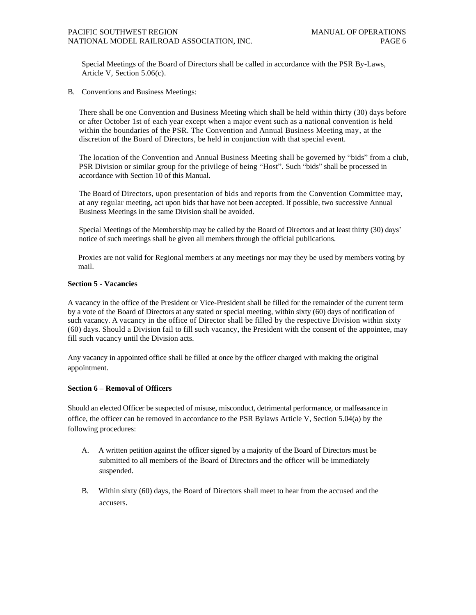Special Meetings of the Board of Directors shall be called in accordance with the PSR By-Laws, Article V, Section 5.06(c).

B. Conventions and Business Meetings:

There shall be one Convention and Business Meeting which shall be held within thirty (30) days before or after October 1st of each year except when a major event such as a national convention is held within the boundaries of the PSR. The Convention and Annual Business Meeting may, at the discretion of the Board of Directors, be held in conjunction with that special event.

The location of the Convention and Annual Business Meeting shall be governed by "bids" from a club, PSR Division or similar group for the privilege of being "Host". Such "bids" shall be processed in accordance with Section 10 of this Manual.

The Board of Directors, upon presentation of bids and reports from the Convention Committee may, at any regular meeting, act upon bids that have not been accepted. If possible, two successive Annual Business Meetings in the same Division shall be avoided.

Special Meetings of the Membership may be called by the Board of Directors and at least thirty (30) days' notice of such meetings shall be given all members through the official publications.

Proxies are not valid for Regional members at any meetings nor may they be used by members voting by mail.

## **Section 5 - Vacancies**

A vacancy in the office of the President or Vice-President shall be filled for the remainder of the current term by a vote of the Board of Directors at any stated or special meeting, within sixty (60) days of notification of such vacancy. A vacancy in the office of Director shall be filled by the respective Division within sixty (60) days. Should a Division fail to fill such vacancy, the President with the consent of the appointee, may fill such vacancy until the Division acts.

Any vacancy in appointed office shall be filled at once by the officer charged with making the original appointment.

## **Section 6 – Removal of Officers**

Should an elected Officer be suspected of misuse, misconduct, detrimental performance, or malfeasance in office, the officer can be removed in accordance to the PSR Bylaws Article V, Section 5.04(a) by the following procedures:

- A. A written petition against the officer signed by a majority of the Board of Directors must be submitted to all members of the Board of Directors and the officer will be immediately suspended.
- B. Within sixty (60) days, the Board of Directors shall meet to hear from the accused and the accusers.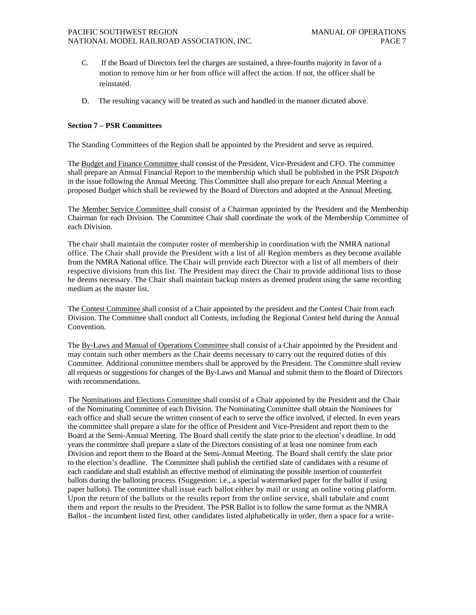- C. If the Board of Directors feel the charges are sustained, a three-fourths majority in favor of a motion to remove him or her from office will affect the action. If not, the officer shall be reinstated.
- D. The resulting vacancy will be treated as such and handled in the manner dictated above.

## **Section 7 – PSR Committees**

The Standing Committees of the Region shall be appointed by the President and serve as required.

The Budget and Finance Committee shall consist of the President, Vice-President and CFO. The committee shall prepare an Annual Financial Report to the membership which shall be published in the PSR *Dispatch*  in the issue following the Annual Meeting. This Committee shall also prepare for each Annual Meeting a proposed Budget which shall be reviewed by the Board of Directors and adopted at the Annual Meeting.

The Member Service Committee shall consist of a Chairman appointed by the President and the Membership Chairman for each Division. The Committee Chair shall coordinate the work of the Membership Committee of each Division.

The chair shall maintain the computer roster of membership in coordination with the NMRA national office. The Chair shall provide the President with a list of all Region members as they become available from the NMRA National office. The Chair will provide each Director with a list of all members of their respective divisions from this list. The President may direct the Chair to provide additional lists to those he deems necessary. The Chair shall maintain backup rosters as deemed prudent using the same recording medium as the master list.

The Contest Committee shall consist of a Chair appointed by the president and the Contest Chair from each Division. The Committee shall conduct all Contests, including the Regional Contest held during the Annual Convention.

The By-Laws and Manual of Operations Committee shall consist of a Chair appointed by the President and may contain such other members as the Chair deems necessary to carry out the required duties of this Committee. Additional committee members shall be approved by the President. The Committee shall review all requests or suggestions for changes of the By-Laws and Manual and submit them to the Board of Directors with recommendations.

The Nominations and Elections Committee shall consist of a Chair appointed by the President and the Chair of the Nominating Committee of each Division. The Nominating Committee shall obtain the Nominees for each office and shall secure the written consent of each to serve the office involved, if elected. In even years the committee shall prepare a slate for the office of President and Vice-President and report them to the Board at the Semi-Annual Meeting. The Board shall certify the slate prior to the election's deadline. In odd years the committee shall prepare a slate of the Directors consisting of at least one nominee from each Division and report them to the Board at the Semi-Annual Meeting. The Board shall certify the slate prior to the election's deadline. The Committee shall publish the certified slate of candidates with a resume of each candidate and shall establish an effective method of eliminating the possible insertion of counterfeit ballots during the balloting process. (Suggestion: i.e., a special watermarked paper for the ballot if using paper ballots). The committee shall issue each ballot either by mail or using an online voting platform. Upon the return of the ballots or the results report from the online service, shall tabulate and count them and report the results to the President. The PSR Ballot is to follow the same format as the NMRA Ballot - the incumbent listed first, other candidates listed alphabetically in order, then a space for a write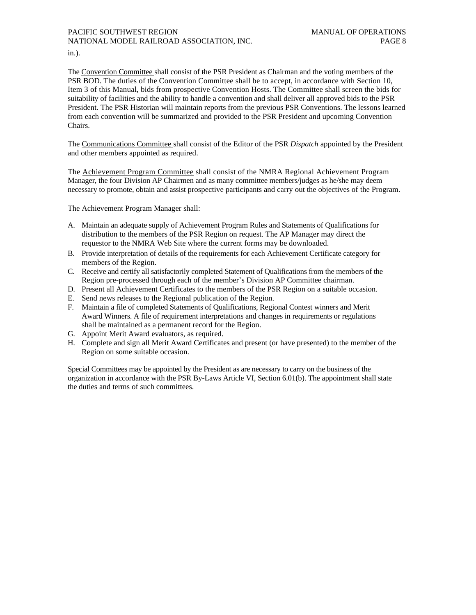in.).

The Convention Committee shall consist of the PSR President as Chairman and the voting members of the PSR BOD. The duties of the Convention Committee shall be to accept, in accordance with Section 10, Item 3 of this Manual, bids from prospective Convention Hosts. The Committee shall screen the bids for suitability of facilities and the ability to handle a convention and shall deliver all approved bids to the PSR President. The PSR Historian will maintain reports from the previous PSR Conventions. The lessons learned from each convention will be summarized and provided to the PSR President and upcoming Convention Chairs.

The Communications Committee shall consist of the Editor of the PSR *Dispatch* appointed by the President and other members appointed as required.

The Achievement Program Committee shall consist of the NMRA Regional Achievement Program Manager, the four Division AP Chairmen and as many committee members/judges as he/she may deem necessary to promote, obtain and assist prospective participants and carry out the objectives of the Program.

The Achievement Program Manager shall:

- A. Maintain an adequate supply of Achievement Program Rules and Statements of Qualifications for distribution to the members of the PSR Region on request. The AP Manager may direct the requestor to the NMRA Web Site where the current forms may be downloaded.
- B. Provide interpretation of details of the requirements for each Achievement Certificate category for members of the Region.
- C. Receive and certify all satisfactorily completed Statement of Qualifications from the members of the Region pre-processed through each of the member's Division AP Committee chairman.
- D. Present all Achievement Certificates to the members of the PSR Region on a suitable occasion.
- E. Send news releases to the Regional publication of the Region.
- F. Maintain a file of completed Statements of Qualifications, Regional Contest winners and Merit Award Winners. A file of requirement interpretations and changes in requirements or regulations shall be maintained as a permanent record for the Region.
- G. Appoint Merit Award evaluators, as required.
- H. Complete and sign all Merit Award Certificates and present (or have presented) to the member of the Region on some suitable occasion.

Special Committees may be appointed by the President as are necessary to carry on the business of the organization in accordance with the PSR By-Laws Article VI, Section 6.01(b). The appointment shall state the duties and terms of such committees.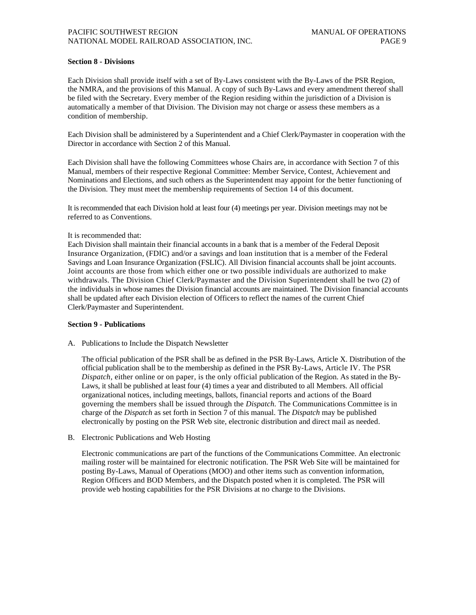#### **Section 8 - Divisions**

Each Division shall provide itself with a set of By-Laws consistent with the By-Laws of the PSR Region, the NMRA, and the provisions of this Manual. A copy of such By-Laws and every amendment thereof shall be filed with the Secretary. Every member of the Region residing within the jurisdiction of a Division is automatically a member of that Division. The Division may not charge or assess these members as a condition of membership.

Each Division shall be administered by a Superintendent and a Chief Clerk/Paymaster in cooperation with the Director in accordance with Section 2 of this Manual.

Each Division shall have the following Committees whose Chairs are, in accordance with Section 7 of this Manual, members of their respective Regional Committee: Member Service, Contest, Achievement and Nominations and Elections, and such others as the Superintendent may appoint for the better functioning of the Division. They must meet the membership requirements of Section 14 of this document.

It is recommended that each Division hold at least four (4) meetings per year. Division meetings may not be referred to as Conventions.

#### It is recommended that:

Each Division shall maintain their financial accounts in a bank that is a member of the Federal Deposit Insurance Organization, (FDIC) and/or a savings and loan institution that is a member of the Federal Savings and Loan Insurance Organization (FSLIC). All Division financial accounts shall be joint accounts. Joint accounts are those from which either one or two possible individuals are authorized to make withdrawals. The Division Chief Clerk/Paymaster and the Division Superintendent shall be two (2) of the individuals in whose names the Division financial accounts are maintained. The Division financial accounts shall be updated after each Division election of Officers to reflect the names of the current Chief Clerk/Paymaster and Superintendent.

#### **Section 9 - Publications**

A. Publications to Include the Dispatch Newsletter

The official publication of the PSR shall be as defined in the PSR By-Laws, Article X. Distribution of the official publication shall be to the membership as defined in the PSR By-Laws, Article IV. The PSR *Dispatch,* either online or on paper*,* is the only official publication of the Region. As stated in the By-Laws, it shall be published at least four (4) times a year and distributed to all Members. All official organizational notices, including meetings, ballots, financial reports and actions of the Board governing the members shall be issued through the *Dispatch.* The Communications Committee is in charge of the *Dispatch* as set forth in Section 7 of this manual. The *Dispatch* may be published electronically by posting on the PSR Web site, electronic distribution and direct mail as needed.

B. Electronic Publications and Web Hosting

Electronic communications are part of the functions of the Communications Committee. An electronic mailing roster will be maintained for electronic notification. The PSR Web Site will be maintained for posting By-Laws, Manual of Operations (MOO) and other items such as convention information, Region Officers and BOD Members, and the Dispatch posted when it is completed. The PSR will provide web hosting capabilities for the PSR Divisions at no charge to the Divisions.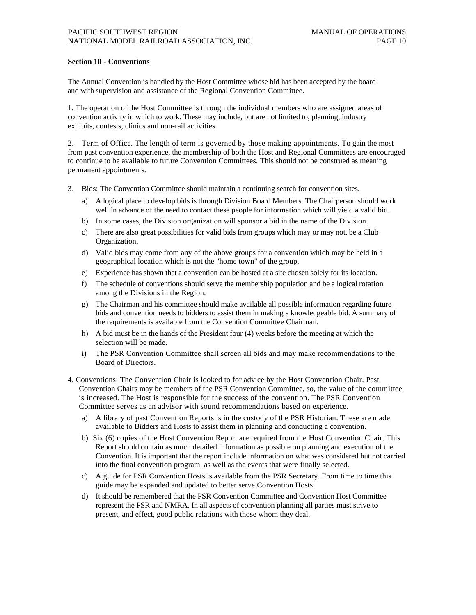#### **Section 10 - Conventions**

The Annual Convention is handled by the Host Committee whose bid has been accepted by the board and with supervision and assistance of the Regional Convention Committee.

1. The operation of the Host Committee is through the individual members who are assigned areas of convention activity in which to work. These may include, but are not limited to, planning, industry exhibits, contests, clinics and non-rail activities.

2. Term of Office. The length of term is governed by those making appointments. To gain the most from past convention experience, the membership of both the Host and Regional Committees are encouraged to continue to be available to future Convention Committees. This should not be construed as meaning permanent appointments.

- 3. Bids: The Convention Committee should maintain a continuing search for convention sites.
	- a) A logical place to develop bids is through Division Board Members. The Chairperson should work well in advance of the need to contact these people for information which will yield a valid bid.
	- b) In some cases, the Division organization will sponsor a bid in the name of the Division.
	- c) There are also great possibilities for valid bids from groups which may or may not, be a Club Organization.
	- d) Valid bids may come from any of the above groups for a convention which may be held in a geographical location which is not the "home town" of the group.
	- e) Experience has shown that a convention can be hosted at a site chosen solely for its location.
	- f) The schedule of conventions should serve the membership population and be a logical rotation among the Divisions in the Region.
	- g) The Chairman and his committee should make available all possible information regarding future bids and convention needs to bidders to assist them in making a knowledgeable bid. A summary of the requirements is available from the Convention Committee Chairman.
	- h) A bid must be in the hands of the President four (4) weeks before the meeting at which the selection will be made.
	- i) The PSR Convention Committee shall screen all bids and may make recommendations to the Board of Directors.
- 4. Conventions: The Convention Chair is looked to for advice by the Host Convention Chair. Past Convention Chairs may be members of the PSR Convention Committee, so, the value of the committee is increased. The Host is responsible for the success of the convention. The PSR Convention Committee serves as an advisor with sound recommendations based on experience.
	- a) A library of past Convention Reports is in the custody of the PSR Historian. These are made available to Bidders and Hosts to assist them in planning and conducting a convention.
	- b) Six (6) copies of the Host Convention Report are required from the Host Convention Chair. This Report should contain as much detailed information as possible on planning and execution of the Convention. It is important that the report include information on what was considered but not carried into the final convention program, as well as the events that were finally selected.
	- c) A guide for PSR Convention Hosts is available from the PSR Secretary. From time to time this guide may be expanded and updated to better serve Convention Hosts.
	- d) It should be remembered that the PSR Convention Committee and Convention Host Committee represent the PSR and NMRA. In all aspects of convention planning all parties must strive to present, and effect, good public relations with those whom they deal.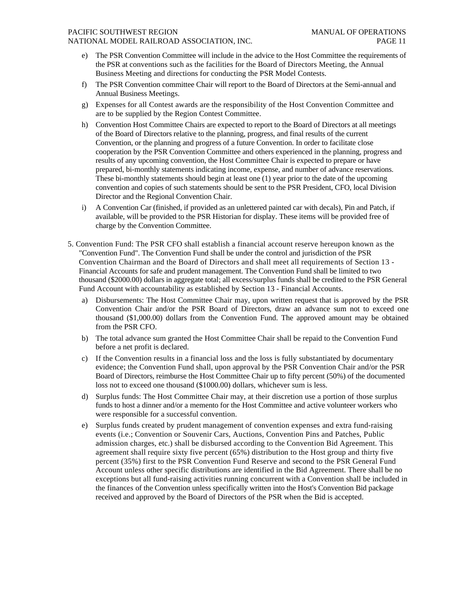#### PACIFIC SOUTHWEST REGION MANUAL OF OPERATIONS

NATIONAL MODEL RAILROAD ASSOCIATION, INC. PAGE 11

- The PSR Convention Committee will include in the advice to the Host Committee the requirements of the PSR at conventions such as the facilities for the Board of Directors Meeting, the Annual Business Meeting and directions for conducting the PSR Model Contests.
- f) The PSR Convention committee Chair will report to the Board of Directors at the Semi-annual and Annual Business Meetings.
- g) Expenses for all Contest awards are the responsibility of the Host Convention Committee and are to be supplied by the Region Contest Committee.
- h) Convention Host Committee Chairs are expected to report to the Board of Directors at all meetings of the Board of Directors relative to the planning, progress, and final results of the current Convention, or the planning and progress of a future Convention. In order to facilitate close cooperation by the PSR Convention Committee and others experienced in the planning, progress and results of any upcoming convention, the Host Committee Chair is expected to prepare or have prepared, bi-monthly statements indicating income, expense, and number of advance reservations. These bi-monthly statements should begin at least one (1) year prior to the date of the upcoming convention and copies of such statements should be sent to the PSR President, CFO, local Division Director and the Regional Convention Chair.
- i) A Convention Car (finished, if provided as an unlettered painted car with decals), Pin and Patch, if available, will be provided to the PSR Historian for display. These items will be provided free of charge by the Convention Committee.
- 5. Convention Fund: The PSR CFO shall establish a financial account reserve hereupon known as the "Convention Fund". The Convention Fund shall be under the control and jurisdiction of the PSR Convention Chairman and the Board of Directors and shall meet all requirements of Section 13 - Financial Accounts for safe and prudent management. The Convention Fund shall be limited to two thousand (\$2000.00) dollars in aggregate total; all excess/surplus funds shall be credited to the PSR General Fund Account with accountability as established by Section 13 - Financial Accounts.
	- a) Disbursements: The Host Committee Chair may, upon written request that is approved by the PSR Convention Chair and/or the PSR Board of Directors, draw an advance sum not to exceed one thousand (\$1,000.00) dollars from the Convention Fund. The approved amount may be obtained from the PSR CFO.
	- b) The total advance sum granted the Host Committee Chair shall be repaid to the Convention Fund before a net profit is declared.
	- c) If the Convention results in a financial loss and the loss is fully substantiated by documentary evidence; the Convention Fund shall, upon approval by the PSR Convention Chair and/or the PSR Board of Directors, reimburse the Host Committee Chair up to fifty percent (50%) of the documented loss not to exceed one thousand (\$1000.00) dollars, whichever sum is less.
	- d) Surplus funds: The Host Committee Chair may, at their discretion use a portion of those surplus funds to host a dinner and/or a memento for the Host Committee and active volunteer workers who were responsible for a successful convention.
	- e) Surplus funds created by prudent management of convention expenses and extra fund-raising events (i.e.; Convention or Souvenir Cars, Auctions, Convention Pins and Patches, Public admission charges, etc.) shall be disbursed according to the Convention Bid Agreement. This agreement shall require sixty five percent (65%) distribution to the Host group and thirty five percent (35%) first to the PSR Convention Fund Reserve and second to the PSR General Fund Account unless other specific distributions are identified in the Bid Agreement. There shall be no exceptions but all fund-raising activities running concurrent with a Convention shall be included in the finances of the Convention unless specifically written into the Host's Convention Bid package received and approved by the Board of Directors of the PSR when the Bid is accepted.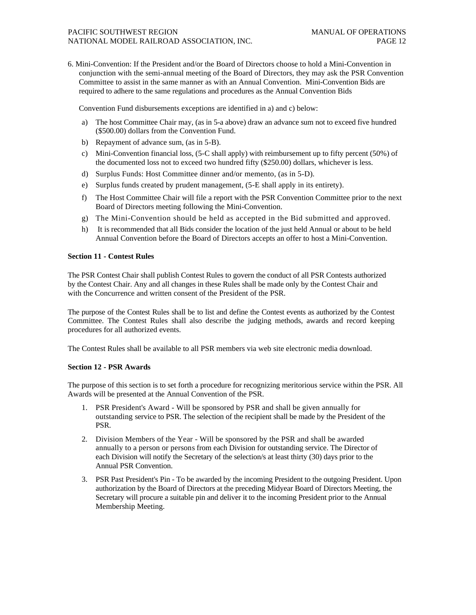6. Mini-Convention: If the President and/or the Board of Directors choose to hold a Mini-Convention in conjunction with the semi-annual meeting of the Board of Directors, they may ask the PSR Convention Committee to assist in the same manner as with an Annual Convention. Mini-Convention Bids are required to adhere to the same regulations and procedures as the Annual Convention Bids

Convention Fund disbursements exceptions are identified in a) and c) below:

- a) The host Committee Chair may, (as in 5-a above) draw an advance sum not to exceed five hundred (\$500.00) dollars from the Convention Fund.
- b) Repayment of advance sum, (as in 5-B).
- c) Mini-Convention financial loss, (5-C shall apply) with reimbursement up to fifty percent (50%) of the documented loss not to exceed two hundred fifty (\$250.00) dollars, whichever is less.
- d) Surplus Funds: Host Committee dinner and/or memento, (as in 5-D).
- e) Surplus funds created by prudent management, (5-E shall apply in its entirety).
- f) The Host Committee Chair will file a report with the PSR Convention Committee prior to the next Board of Directors meeting following the Mini-Convention.
- g) The Mini-Convention should be held as accepted in the Bid submitted and approved.
- h) It is recommended that all Bids consider the location of the just held Annual or about to be held Annual Convention before the Board of Directors accepts an offer to host a Mini-Convention.

#### **Section 11 - Contest Rules**

The PSR Contest Chair shall publish Contest Rules to govern the conduct of all PSR Contests authorized by the Contest Chair. Any and all changes in these Rules shall be made only by the Contest Chair and with the Concurrence and written consent of the President of the PSR.

The purpose of the Contest Rules shall be to list and define the Contest events as authorized by the Contest Committee. The Contest Rules shall also describe the judging methods, awards and record keeping procedures for all authorized events.

The Contest Rules shall be available to all PSR members via web site electronic media download.

## **Section 12 - PSR Awards**

The purpose of this section is to set forth a procedure for recognizing meritorious service within the PSR. All Awards will be presented at the Annual Convention of the PSR.

- 1. PSR President's Award Will be sponsored by PSR and shall be given annually for outstanding service to PSR. The selection of the recipient shall be made by the President of the PSR.
- 2. Division Members of the Year Will be sponsored by the PSR and shall be awarded annually to a person or persons from each Division for outstanding service. The Director of each Division will notify the Secretary of the selection/s at least thirty (30) days prior to the Annual PSR Convention.
- 3. PSR Past President's Pin To be awarded by the incoming President to the outgoing President. Upon authorization by the Board of Directors at the preceding Midyear Board of Directors Meeting, the Secretary will procure a suitable pin and deliver it to the incoming President prior to the Annual Membership Meeting.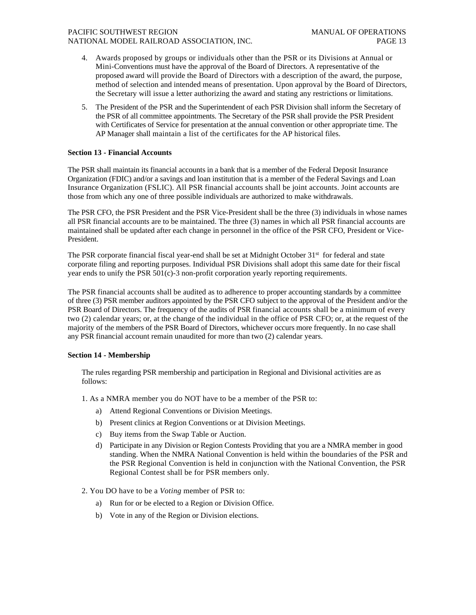## PACIFIC SOUTHWEST REGION MANUAL OF OPERATIONS NATIONAL MODEL RAILROAD ASSOCIATION, INC. PAGE 13

- 4. Awards proposed by groups or individuals other than the PSR or its Divisions at Annual or Mini-Conventions must have the approval of the Board of Directors. A representative of the proposed award will provide the Board of Directors with a description of the award, the purpose, method of selection and intended means of presentation. Upon approval by the Board of Directors, the Secretary will issue a letter authorizing the award and stating any restrictions or limitations.
- 5. The President of the PSR and the Superintendent of each PSR Division shall inform the Secretary of the PSR of all committee appointments. The Secretary of the PSR shall provide the PSR President with Certificates of Service for presentation at the annual convention or other appropriate time. The AP Manager shall maintain a list of the certificates for the AP historical files.

#### **Section 13 - Financial Accounts**

The PSR shall maintain its financial accounts in a bank that is a member of the Federal Deposit Insurance Organization (FDIC) and/or a savings and loan institution that is a member of the Federal Savings and Loan Insurance Organization (FSLIC). All PSR financial accounts shall be joint accounts. Joint accounts are those from which any one of three possible individuals are authorized to make withdrawals.

The PSR CFO, the PSR President and the PSR Vice-President shall be the three (3) individuals in whose names all PSR financial accounts are to be maintained. The three (3) names in which all PSR financial accounts are maintained shall be updated after each change in personnel in the office of the PSR CFO, President or Vice-President.

The PSR corporate financial fiscal year-end shall be set at Midnight October 31<sup>st</sup> for federal and state corporate filing and reporting purposes. Individual PSR Divisions shall adopt this same date for their fiscal year ends to unify the PSR 501(c)-3 non-profit corporation yearly reporting requirements.

The PSR financial accounts shall be audited as to adherence to proper accounting standards by a committee of three (3) PSR member auditors appointed by the PSR CFO subject to the approval of the President and/or the PSR Board of Directors. The frequency of the audits of PSR financial accounts shall be a minimum of every two (2) calendar years; or, at the change of the individual in the office of PSR CFO; or, at the request of the majority of the members of the PSR Board of Directors, whichever occurs more frequently. In no case shall any PSR financial account remain unaudited for more than two (2) calendar years.

#### **Section 14 - Membership**

The rules regarding PSR membership and participation in Regional and Divisional activities are as follows:

- 1. As a NMRA member you do NOT have to be a member of the PSR to:
	- a) Attend Regional Conventions or Division Meetings.
	- b) Present clinics at Region Conventions or at Division Meetings.
	- c) Buy items from the Swap Table or Auction.
	- d) Participate in any Division or Region Contests Providing that you are a NMRA member in good standing. When the NMRA National Convention is held within the boundaries of the PSR and the PSR Regional Convention is held in conjunction with the National Convention, the PSR Regional Contest shall be for PSR members only.
- 2. You DO have to be a *Voting* member of PSR to:
	- a) Run for or be elected to a Region or Division Office.
	- b) Vote in any of the Region or Division elections.